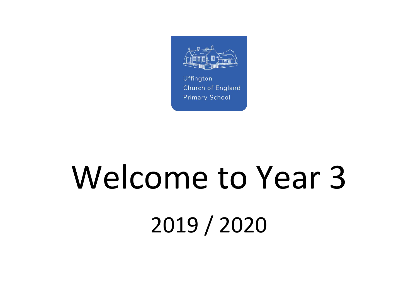

# Welcome to Year 3 2019 / 2020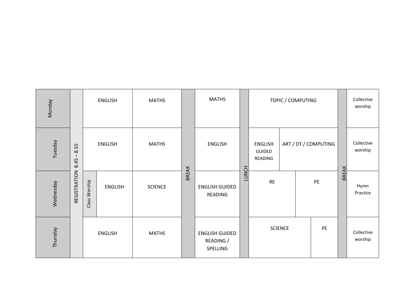| <b>Monday</b> |              |               | <b>ENGLISH</b> | <b>MATHS</b>   |              | <b>MATHS</b>                                   |              |                                     | TOPIC / COMPUTING |                      |              | Collective<br>worship |
|---------------|--------------|---------------|----------------|----------------|--------------|------------------------------------------------|--------------|-------------------------------------|-------------------|----------------------|--------------|-----------------------|
| Tuesday       | 8.55<br>8.45 |               | <b>ENGLISH</b> | <b>MATHS</b>   |              | <b>ENGLISH</b>                                 |              | <b>ENGLISH</b><br>GUIDED<br>READING |                   | ART / DT / COMPUTING |              | Collective<br>worship |
| Wednesday     | REGISTRATION | Class Worship | <b>ENGLISH</b> | <b>SCIENCE</b> | <b>BREAK</b> | <b>ENGLISH GUIDED</b><br>READING               | <b>LUNCH</b> | RE                                  |                   | PE                   | <b>BREAK</b> | Hymn<br>Practice      |
| Thursday      |              |               | <b>ENGLISH</b> | <b>MATHS</b>   |              | <b>ENGLISH GUIDED</b><br>READING /<br>SPELLING |              |                                     | <b>SCIENCE</b>    | PE                   |              | Collective<br>worship |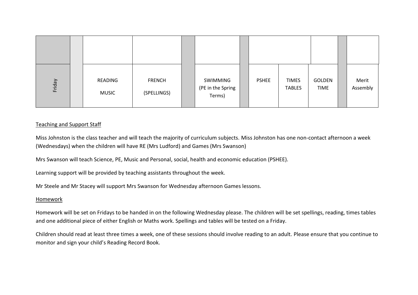| Friday                                                                                                                                                                                                                                                     |  | <b>READING</b><br><b>MUSIC</b>                                                                         | <b>FRENCH</b><br>(SPELLINGS) |  | <b>SWIMMING</b><br>(PE in the Spring<br>Terms) |  | <b>PSHEE</b> | <b>TIMES</b><br><b>TABLES</b> | <b>GOLDEN</b><br><b>TIME</b> | Merit<br>Assembly |
|------------------------------------------------------------------------------------------------------------------------------------------------------------------------------------------------------------------------------------------------------------|--|--------------------------------------------------------------------------------------------------------|------------------------------|--|------------------------------------------------|--|--------------|-------------------------------|------------------------------|-------------------|
| <b>Teaching and Support Staff</b>                                                                                                                                                                                                                          |  |                                                                                                        |                              |  |                                                |  |              |                               |                              |                   |
| Miss Johnston is the class teacher and will teach the majority of curriculum subjects. Miss Johnston has one non-contact afternoon a week<br>(Wednesdays) when the children will have RE (Mrs Ludford) and Games (Mrs Swanson)                             |  |                                                                                                        |                              |  |                                                |  |              |                               |                              |                   |
|                                                                                                                                                                                                                                                            |  | Mrs Swanson will teach Science, PE, Music and Personal, social, health and economic education (PSHEE). |                              |  |                                                |  |              |                               |                              |                   |
|                                                                                                                                                                                                                                                            |  | Learning support will be provided by teaching assistants throughout the week.                          |                              |  |                                                |  |              |                               |                              |                   |
|                                                                                                                                                                                                                                                            |  | Mr Steele and Mr Stacey will support Mrs Swanson for Wednesday afternoon Games lessons.                |                              |  |                                                |  |              |                               |                              |                   |
| Homework                                                                                                                                                                                                                                                   |  |                                                                                                        |                              |  |                                                |  |              |                               |                              |                   |
| Homework will be set on Fridays to be handed in on the following Wednesday please. The children will be set spellings, reading, times tables<br>and one additional piece of either English or Maths work. Spellings and tables will be tested on a Friday. |  |                                                                                                        |                              |  |                                                |  |              |                               |                              |                   |
| Children should read at least three times a week, one of these sessions should involve reading to an adult. Please ensure that you continue to<br>monitor and sign your child's Reading Record Book.                                                       |  |                                                                                                        |                              |  |                                                |  |              |                               |                              |                   |

## Teaching and Support Staff

## Homework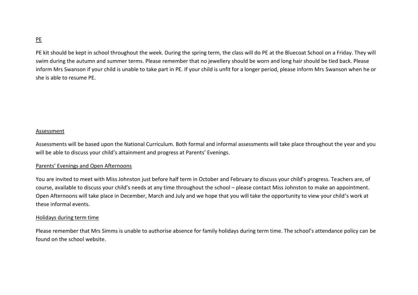## PE

PE kit should be kept in school throughout the week. During the spring term, the class will do PE at the Bluecoat School on a Friday. They will swim during the autumn and summer terms. Please remember that no jewellery should be worn and long hair should be tied back. Please inform Mrs Swanson if your child is unable to take part in PE. If your child is unfit for a longer period, please inform Mrs Swanson when he or she is able to resume PE.

## Assessment

Assessments will be based upon the National Curriculum. Both formal and informal assessments will take place throughout the year and you will be able to discuss your child's attainment and progress at Parents' Evenings.

### Parents' Evenings and Open Afternoons

You are invited to meet with Miss Johnston just before half term in October and February to discuss your child's progress. Teachers are, of course, available to discuss your child's needs at any time throughout the school – please contact Miss Johnston to make an appointment. Open Afternoons will take place in December, March and July and we hope that you will take the opportunity to view your child's work at these informal events.

### Holidays during term time

Please remember that Mrs Simms is unable to authorise absence for family holidays during term time. The school's attendance policy can be found on the school website.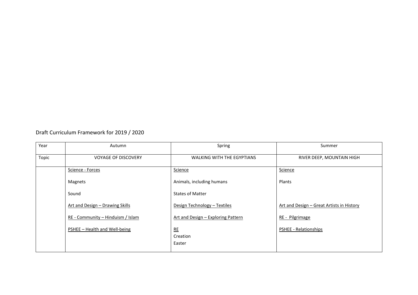## Draft Curriculum Framework for 2019 / 2020

| Year  | Autumn                            | Spring                             | Summer                                    |
|-------|-----------------------------------|------------------------------------|-------------------------------------------|
| Topic | <b>VOYAGE OF DISCOVERY</b>        | <b>WALKING WITH THE EGYPTIANS</b>  | RIVER DEEP, MOUNTAIN HIGH                 |
|       | Science - Forces                  | Science                            | Science                                   |
|       | Magnets                           | Animals, including humans          | Plants                                    |
|       | Sound                             | <b>States of Matter</b>            |                                           |
|       | Art and Design - Drawing Skills   | Design Technology - Textiles       | Art and Design - Great Artists in History |
|       | RE - Community – Hinduism / Islam | Art and Design - Exploring Pattern | RE - Pilgrimage                           |
|       | PSHEE - Health and Well-being     | RE                                 | <b>PSHEE - Relationships</b>              |
|       |                                   | Creation                           |                                           |
|       |                                   | Easter                             |                                           |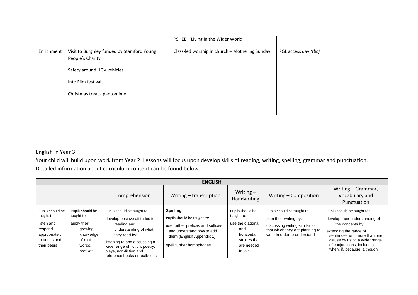|            |                                                                | PSHEE - Living in the Wider World              |                      |
|------------|----------------------------------------------------------------|------------------------------------------------|----------------------|
| Enrichment | Visit to Burghley funded by Stamford Young<br>People's Charity | Class-led worship in church - Mothering Sunday | PGL access day (tbc) |
|            | Safety around HGV vehicles                                     |                                                |                      |
|            | Into Film festival                                             |                                                |                      |
|            | Christmas treat - pantomime                                    |                                                |                      |
|            |                                                                |                                                |                      |

## English in Year 3

Your child will build upon work from Year 2. Lessons will focus upon develop skills of reading, writing, spelling, grammar and punctuation. Detailed information about curriculum content can be found below:

|                                                                                                          | <b>ENGLISH</b>                                                                                         |                                                                                                                                                                                                                                                    |                                                                                                                                                                           |                                                                                                                  |                                                                                                                                                           |                                                                                                                                                                                                                                           |  |  |  |  |
|----------------------------------------------------------------------------------------------------------|--------------------------------------------------------------------------------------------------------|----------------------------------------------------------------------------------------------------------------------------------------------------------------------------------------------------------------------------------------------------|---------------------------------------------------------------------------------------------------------------------------------------------------------------------------|------------------------------------------------------------------------------------------------------------------|-----------------------------------------------------------------------------------------------------------------------------------------------------------|-------------------------------------------------------------------------------------------------------------------------------------------------------------------------------------------------------------------------------------------|--|--|--|--|
|                                                                                                          |                                                                                                        | Comprehension                                                                                                                                                                                                                                      | Writing – transcription                                                                                                                                                   | Writing $-$<br>Handwriting                                                                                       | Writing - Composition                                                                                                                                     | Writing - Grammar,<br>Vocabulary and<br>Punctuation                                                                                                                                                                                       |  |  |  |  |
| Pupils should be<br>taught to:<br>listen and<br>respond<br>appropriately<br>to adults and<br>their peers | Pupils should be<br>taught to:<br>apply their<br>growing<br>knowledge<br>of root<br>words.<br>prefixes | Pupils should be taught to:<br>develop positive attitudes to<br>reading and<br>understanding of what<br>they read by:<br>listening to and discussing a<br>wide range of fiction, poetry,<br>plays, non-fiction and<br>reference books or textbooks | <b>Spelling</b><br>Pupils should be taught to:<br>use further prefixes and suffixes<br>and understand how to add<br>them (English Appendix 1)<br>spell further homophones | Pupils should be<br>taught to:<br>use the diagonal<br>and<br>horizontal<br>strokes that<br>are needed<br>to join | Pupils should be taught to:<br>plan their writing by:<br>discussing writing similar to<br>that which they are planning to<br>write in order to understand | Pupils should be taught to:<br>develop their understanding of<br>the concepts by:<br>extending the range of<br>sentences with more than one<br>clause by using a wider range<br>of conjunctions, including<br>when, if, because, although |  |  |  |  |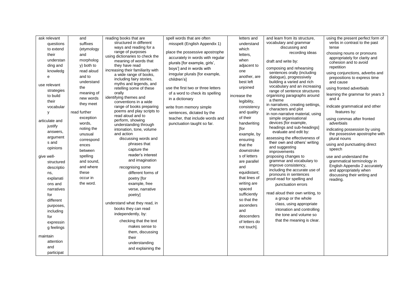| ask relevant   | and          | reading books that are                               | spell words that are often         | letters and   | and learn from its structure.                            | using the present perfect form of                               |
|----------------|--------------|------------------------------------------------------|------------------------------------|---------------|----------------------------------------------------------|-----------------------------------------------------------------|
| questions      | suffixes     | structured in different                              | misspelt (English Appendix 1)      | understand    | vocabulary and grammar                                   | verbs in contrast to the past                                   |
| to extend      | (etymology   | ways and reading for a                               |                                    | which         | discussing and                                           | tense                                                           |
| their          | and          | range of purposes<br>using dictionaries to check the | place the possessive apostrophe    | letters,      | recording ideas                                          | choosing nouns or pronouns                                      |
| understan      | morpholog    | meaning of words that                                | accurately in words with regular   | when          | draft and write by:                                      | appropriately for clarity and                                   |
| ding and       | y) both to   | they have read                                       | plurals [for example, girls',      | adjacent to   |                                                          | cohesion and to avoid<br>repetition                             |
| knowledg       | read aloud   | increasing their familiarity with                    | boys'] and in words with           | one           | composing and rehearsing<br>sentences orally (including  |                                                                 |
| e              | and to       | a wide range of books,                               | irregular plurals [for example,    | another, are  | dialogue), progressively                                 | using conjunctions, adverbs and<br>prepositions to express time |
|                | understand   | including fairy stories,                             | children's]                        | best left     | building a varied and rich                               | and cause                                                       |
| use relevant   | the          | myths and legends, and<br>retelling some of these    | use the first two or three letters | unjoined      | vocabulary and an increasing                             | using fronted adverbials                                        |
| strategies     | meaning of   | orally                                               | of a word to check its spelling    |               | range of sentence structures                             |                                                                 |
| to build       | new words    | identifying themes and                               | in a dictionary                    | increase the  | organising paragraphs around                             | learning the grammar for years 3<br>and 4                       |
| their          | they meet    | conventions in a wide                                |                                    | legibility,   | a theme                                                  |                                                                 |
| vocabular      |              | range of books preparing                             | write from memory simple           | consistency   | in narratives, creating settings,<br>characters and plot | indicate grammatical and other                                  |
| y              | read further | poems and play scripts to<br>read aloud and to       | sentences, dictated by the         | and quality   | in non-narrative material, using                         | features by:                                                    |
|                | exception    | perform, showing                                     | teacher, that include words and    | of their      | simple organisational                                    | using commas after fronted                                      |
| articulate and | words,       | understanding through                                | punctuation taught so far.         | handwriting   | devices [for example,                                    | adverbials                                                      |
| justify        | noting the   | intonation, tone, volume                             |                                    | [for          | headings and sub-headings]                               | indicating possession by using                                  |
| answers,       | unusual      | and action                                           |                                    | example, by   | evaluate and edit by:                                    | the possessive apostrophe with                                  |
| argument       | correspond   | discussing words and                                 |                                    | ensuring      | assessing the effectiveness of                           | plural nouns                                                    |
| s and          | ences        | phrases that                                         |                                    | that the      | their own and others' writing<br>and suggesting          | using and punctuating direct                                    |
| opinions       | between      | capture the                                          |                                    | downstroke    | improvements                                             | speech                                                          |
| give well-     | spelling     | reader's interest                                    |                                    | s of letters  | proposing changes to                                     | use and understand the                                          |
| structured     | and sound,   | and imagination                                      |                                    | are parallel  | grammar and vocabulary to                                | grammatical terminology in                                      |
| descriptio     | and where    | recognising some                                     |                                    | and           | improve consistency,                                     | English Appendix 2 accurately                                   |
| ns,            | these        | different forms of                                   |                                    | equidistant;  | including the accurate use of<br>pronouns in sentences   | and appropriately when<br>discussing their writing and          |
| explanati      | occur in     | poetry [for                                          |                                    | that lines of | proof-read for spelling and                              | reading.                                                        |
| ons and        | the word.    | example, free                                        |                                    | writing are   | punctuation errors                                       |                                                                 |
| narratives     |              | verse, narrative                                     |                                    | spaced        |                                                          |                                                                 |
| for            |              | poetry]                                              |                                    | sufficiently  | read aloud their own writing, to                         |                                                                 |
| different      |              |                                                      |                                    | so that the   | a group or the whole                                     |                                                                 |
| purposes,      |              | understand what they read, in                        |                                    | ascenders     | class, using appropriate                                 |                                                                 |
| including      |              | books they can read                                  |                                    | and           | intonation and controlling                               |                                                                 |
| for            |              | independently, by:                                   |                                    | descenders    | the tone and volume so                                   |                                                                 |
| expressin      |              | checking that the text                               |                                    | of letters do | that the meaning is clear.                               |                                                                 |
| g feelings     |              | makes sense to                                       |                                    | not touch].   |                                                          |                                                                 |
|                |              | them, discussing                                     |                                    |               |                                                          |                                                                 |
| maintain       |              | their                                                |                                    |               |                                                          |                                                                 |
| attention      |              | understanding                                        |                                    |               |                                                          |                                                                 |
| and            |              | and explaining the                                   |                                    |               |                                                          |                                                                 |
| participat     |              |                                                      |                                    |               |                                                          |                                                                 |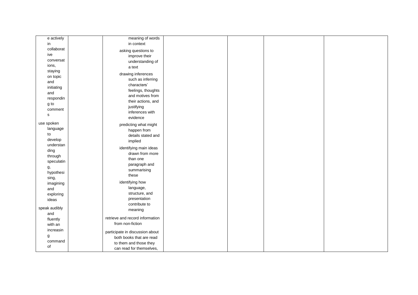| e actively    | meaning of words                |  |  |
|---------------|---------------------------------|--|--|
| in            | in context                      |  |  |
| collaborat    |                                 |  |  |
|               | asking questions to             |  |  |
| ive           | improve their                   |  |  |
| conversat     | understanding of                |  |  |
| ions,         | a text                          |  |  |
| staying       | drawing inferences              |  |  |
| on topic      | such as inferring               |  |  |
| and           | characters'                     |  |  |
| initiating    | feelings, thoughts              |  |  |
| and           | and motives from                |  |  |
| respondin     | their actions, and              |  |  |
| g to          | justifying                      |  |  |
| comment       | inferences with                 |  |  |
| $\mathbf s$   | evidence                        |  |  |
| use spoken    |                                 |  |  |
| language      | predicting what might           |  |  |
| to            | happen from                     |  |  |
| develop       | details stated and              |  |  |
| understan     | implied                         |  |  |
|               | identifying main ideas          |  |  |
| ding          | drawn from more                 |  |  |
| through       | than one                        |  |  |
| speculatin    | paragraph and                   |  |  |
| g,            | summarising                     |  |  |
| hypothesi     | these                           |  |  |
| sing,         | identifying how                 |  |  |
| imagining     | language,                       |  |  |
| and           | structure, and                  |  |  |
| exploring     | presentation                    |  |  |
| ideas         | contribute to                   |  |  |
| speak audibly | meaning                         |  |  |
| and           |                                 |  |  |
| fluently      | retrieve and record information |  |  |
| with an       | from non-fiction                |  |  |
| increasin     | participate in discussion about |  |  |
| g             | both books that are read        |  |  |
| command       |                                 |  |  |
| of            | to them and those they          |  |  |
|               | can read for themselves,        |  |  |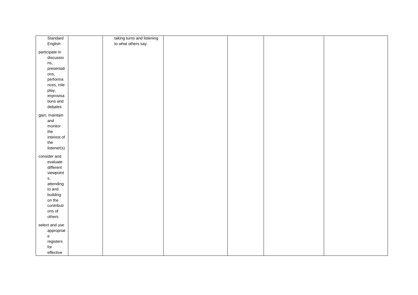| Standard<br>taking turns and listening<br>English<br>to what others say.<br>participate in<br>discussio |  |
|---------------------------------------------------------------------------------------------------------|--|
|                                                                                                         |  |
|                                                                                                         |  |
|                                                                                                         |  |
|                                                                                                         |  |
| ns,                                                                                                     |  |
| presentati                                                                                              |  |
| ons,                                                                                                    |  |
| performa                                                                                                |  |
| nces, role                                                                                              |  |
| play,                                                                                                   |  |
| improvisa                                                                                               |  |
| tions and                                                                                               |  |
| debates                                                                                                 |  |
| gain, maintain                                                                                          |  |
| and                                                                                                     |  |
| monitor                                                                                                 |  |
| the                                                                                                     |  |
| interest of                                                                                             |  |
| the                                                                                                     |  |
| listener(s)                                                                                             |  |
|                                                                                                         |  |
| consider and                                                                                            |  |
| evaluate                                                                                                |  |
| different                                                                                               |  |
| viewpoint                                                                                               |  |
| s,                                                                                                      |  |
| attending                                                                                               |  |
| to and                                                                                                  |  |
| building                                                                                                |  |
| on the                                                                                                  |  |
| contributi                                                                                              |  |
| ons of                                                                                                  |  |
| others                                                                                                  |  |
| select and use                                                                                          |  |
| appropriat                                                                                              |  |
| $\mathsf{e}% _{\mathsf{H}}\left( \mathsf{e}\right)$                                                     |  |
| registers                                                                                               |  |
| for                                                                                                     |  |
| effective                                                                                               |  |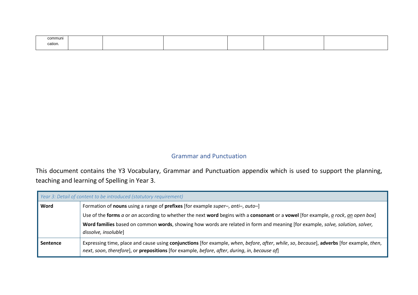| communi |  |  |  |
|---------|--|--|--|
| cation. |  |  |  |
|         |  |  |  |

## Grammar and Punctuation

This document contains the Y3 Vocabulary, Grammar and Punctuation appendix which is used to support the planning, teaching and learning of Spelling in Year 3.

|                 | Year 3: Detail of content to be introduced (statutory requirement)                                                                                                                                                                      |  |  |  |  |  |
|-----------------|-----------------------------------------------------------------------------------------------------------------------------------------------------------------------------------------------------------------------------------------|--|--|--|--|--|
| Word            | Formation of nouns using a range of prefixes [for example super-, anti-, auto-]<br>Use of the forms a or an according to whether the next word begins with a consonant or a vowel [for example, a rock, an open box]                    |  |  |  |  |  |
|                 |                                                                                                                                                                                                                                         |  |  |  |  |  |
|                 | Word families based on common words, showing how words are related in form and meaning [for example, solve, solution, solver,                                                                                                           |  |  |  |  |  |
|                 | dissolve, insoluble]                                                                                                                                                                                                                    |  |  |  |  |  |
| <b>Sentence</b> | Expressing time, place and cause using conjunctions [for example, when, before, after, while, so, because], adverbs [for example, then,<br>next, soon, therefore], or prepositions [for example, before, after, during, in, because of] |  |  |  |  |  |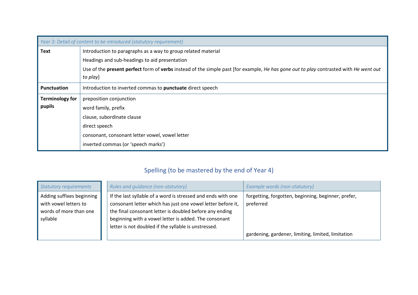|                        | Year 3: Detail of content to be introduced (statutory requirement)                                                                                              |
|------------------------|-----------------------------------------------------------------------------------------------------------------------------------------------------------------|
| <b>Text</b>            | Introduction to paragraphs as a way to group related material                                                                                                   |
|                        | Headings and sub-headings to aid presentation                                                                                                                   |
|                        | Use of the <b>present perfect</b> form of <b>verbs</b> instead of the simple past [for example, He has gone out to play contrasted with He went out<br>to play] |
| <b>Punctuation</b>     | Introduction to inverted commas to punctuate direct speech                                                                                                      |
| <b>Terminology for</b> | preposition conjunction                                                                                                                                         |
| pupils                 | word family, prefix                                                                                                                                             |
|                        | clause, subordinate clause                                                                                                                                      |
|                        | direct speech                                                                                                                                                   |
|                        | consonant, consonant letter vowel, vowel letter                                                                                                                 |
|                        | inverted commas (or 'speech marks')                                                                                                                             |

# Spelling (to be mastered by the end of Year 4)

| <b>Statutory requirements</b> | Rules and quidance (non-statutory)                           | Example words (non-statutory)                       |
|-------------------------------|--------------------------------------------------------------|-----------------------------------------------------|
| Adding suffixes beginning     | If the last syllable of a word is stressed and ends with one | forgetting, forgotten, beginning, beginner, prefer, |
| with vowel letters to         | consonant letter which has just one vowel letter before it,  | preferred                                           |
| words of more than one        | the final consonant letter is doubled before any ending      |                                                     |
| syllable                      | beginning with a vowel letter is added. The consonant        |                                                     |
|                               | letter is not doubled if the syllable is unstressed.         |                                                     |
|                               |                                                              | gardening, gardener, limiting, limited, limitation  |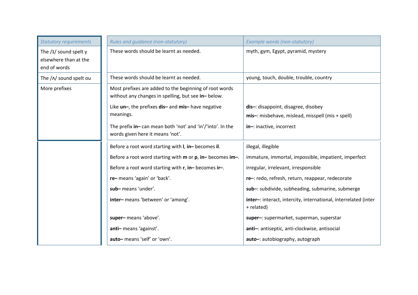| <b>Statutory requirements</b>                                    | Rules and guidance (non-statutory)                                                                           | Example words (non-statutory)                                                 |
|------------------------------------------------------------------|--------------------------------------------------------------------------------------------------------------|-------------------------------------------------------------------------------|
| The $/I/$ sound spelt y<br>elsewhere than at the<br>end of words | These words should be learnt as needed.                                                                      | myth, gym, Egypt, pyramid, mystery                                            |
| The / N sound spelt ou                                           | These words should be learnt as needed.                                                                      | young, touch, double, trouble, country                                        |
| More prefixes                                                    | Most prefixes are added to the beginning of root words<br>without any changes in spelling, but see in-below. |                                                                               |
|                                                                  | Like un-, the prefixes dis- and mis- have negative<br>meanings.                                              | dis-: disappoint, disagree, disobey                                           |
|                                                                  |                                                                                                              | mis-: misbehave, mislead, misspell (mis + spell)                              |
|                                                                  | The prefix in-can mean both 'not' and 'in'/'into'. In the<br>words given here it means 'not'.                | in-: inactive, incorrect                                                      |
|                                                                  | Before a root word starting with I, in-becomes il.                                                           | illegal, illegible                                                            |
|                                                                  | Before a root word starting with m or p, in-becomes im-.                                                     | immature, immortal, impossible, impatient, imperfect                          |
|                                                                  | Before a root word starting with r, in-becomes ir-.                                                          | irregular, irrelevant, irresponsible                                          |
|                                                                  | re-means 'again' or 'back'.                                                                                  | re-: redo, refresh, return, reappear, redecorate                              |
|                                                                  | sub-means 'under'.                                                                                           | sub-: subdivide, subheading, submarine, submerge                              |
|                                                                  | inter-means 'between' or 'among'.                                                                            | inter-: interact, intercity, international, interrelated (inter<br>+ related) |
|                                                                  | super-means 'above'.                                                                                         | super-: supermarket, superman, superstar                                      |
|                                                                  | anti-means 'against'.                                                                                        | anti-: antiseptic, anti-clockwise, antisocial                                 |
|                                                                  | auto-means 'self' or 'own'.                                                                                  | auto-: autobiography, autograph                                               |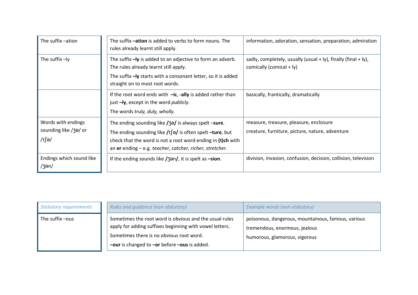| The suffix -ation                                    | The suffix -ation is added to verbs to form nouns. The<br>rules already learnt still apply.                                                                                                                                                            | information, adoration, sensation, preparation, admiration                                       |
|------------------------------------------------------|--------------------------------------------------------------------------------------------------------------------------------------------------------------------------------------------------------------------------------------------------------|--------------------------------------------------------------------------------------------------|
| The suffix $-ly$                                     | The suffix -ly is added to an adjective to form an adverb.<br>The rules already learnt still apply.<br>The suffix -ly starts with a consonant letter, so it is added<br>straight on to most root words.                                                | sadly, completely, usually (usual $+$ ly), finally (final $+$ ly),<br>comically (comical $+$ ly) |
|                                                      | If the root word ends with $-ic$ , -ally is added rather than<br>just -ly, except in the word <i>publicly</i> .<br>The words truly, duly, wholly.                                                                                                      | basically, frantically, dramatically                                                             |
| Words with endings<br>sounding like /3a/ or<br>/t∫ə/ | The ending sounding like $\frac{1}{3}$ is always spelt -sure.<br>The ending sounding like $/t$ of is often spelt -ture, but<br>check that the word is not a root word ending in (t)ch with<br>an er ending – e.g. teacher, catcher, richer, stretcher. | measure, treasure, pleasure, enclosure<br>creature, furniture, picture, nature, adventure        |
| Endings which sound like<br>/3en/                    | If the ending sounds like $\frac{1}{3}$ and it is spelt as $\frac{1}{3}$ -sion.                                                                                                                                                                        | division, invasion, confusion, decision, collision, television                                   |

| Statutory requirements | Rules and guidance (non-statutory)                                                                                                                                                                                     | Example words (non-statutory)                                                                                        |
|------------------------|------------------------------------------------------------------------------------------------------------------------------------------------------------------------------------------------------------------------|----------------------------------------------------------------------------------------------------------------------|
| The suffix -ous        | Sometimes the root word is obvious and the usual rules<br>apply for adding suffixes beginning with vowel letters.<br>Sometimes there is no obvious root word.<br>$-$ our is changed to $-$ or before $-$ ous is added. | poisonous, dangerous, mountainous, famous, various<br>tremendous, enormous, jealous<br>humorous, glamorous, vigorous |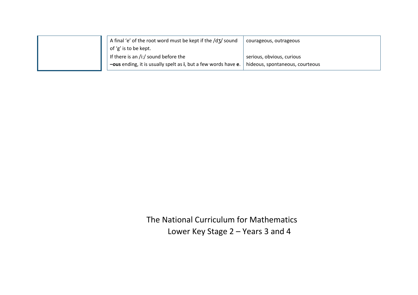| A final 'e' of the root word must be kept if the /d3/ sound                                                  | courageous, outrageous    |
|--------------------------------------------------------------------------------------------------------------|---------------------------|
| of 'g' is to be kept.                                                                                        |                           |
| If there is an /i:/ sound before the                                                                         | serious, obvious, curious |
| $\sim$ -ous ending, it is usually spelt as i, but a few words have e. $\mid$ hideous, spontaneous, courteous |                           |

The National Curriculum for Mathematics Lower Key Stage 2 – Years 3 and 4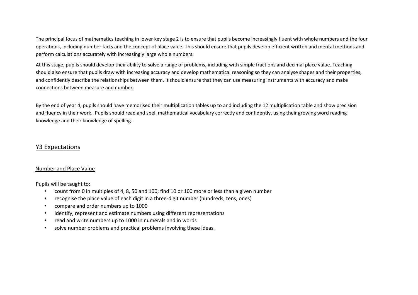The principal focus of mathematics teaching in lower key stage 2 is to ensure that pupils become increasingly fluent with whole numbers and the four operations, including number facts and the concept of place value. This should ensure that pupils develop efficient written and mental methods and perform calculations accurately with increasingly large whole numbers.

At this stage, pupils should develop their ability to solve a range of problems, including with simple fractions and decimal place value. Teaching should also ensure that pupils draw with increasing accuracy and develop mathematical reasoning so they can analyse shapes and their properties, and confidently describe the relationships between them. It should ensure that they can use measuring instruments with accuracy and make connections between measure and number.

By the end of year 4, pupils should have memorised their multiplication tables up to and including the 12 multiplication table and show precision and fluency in their work. Pupils should read and spell mathematical vocabulary correctly and confidently, using their growing word reading knowledge and their knowledge of spelling.

## Y3 Expectations

## Number and Place Value

Pupils will be taught to:

- count from 0 in multiples of 4, 8, 50 and 100; find 10 or 100 more or less than a given number
- recognise the place value of each digit in a three-digit number (hundreds, tens, ones)
- compare and order numbers up to 1000
- identify, represent and estimate numbers using different representations
- read and write numbers up to 1000 in numerals and in words
- solve number problems and practical problems involving these ideas.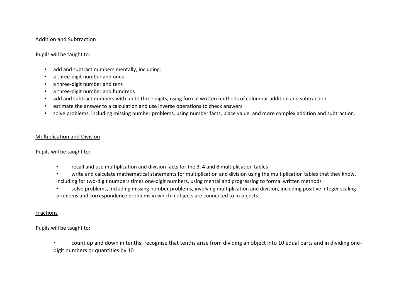## Addition and Subtraction

Pupils will be taught to:

- add and subtract numbers mentally, including:
- a three-digit number and ones
- a three-digit number and tens
- a three-digit number and hundreds
- add and subtract numbers with up to three digits, using formal written methods of columnar addition and subtraction
- estimate the answer to a calculation and use inverse operations to check answers
- solve problems, including missing number problems, using number facts, place value, and more complex addition and subtraction.

## Multiplication and Division

Pupils will be taught to:

- recall and use multiplication and division facts for the 3, 4 and 8 multiplication tables
- write and calculate mathematical statements for multiplication and division using the multiplication tables that they know, including for two-digit numbers times one-digit numbers, using mental and progressing to formal written methods
- solve problems, including missing number problems, involving multiplication and division, including positive integer scaling problems and correspondence problems in which n objects are connected to m objects.

## Fractions

Pupils will be taught to:

• count up and down in tenths; recognise that tenths arise from dividing an object into 10 equal parts and in dividing onedigit numbers or quantities by 10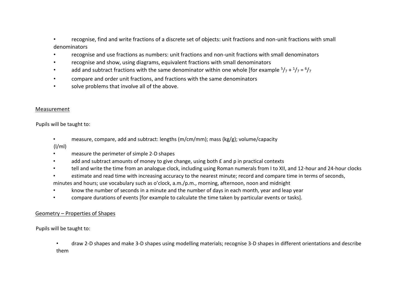• recognise, find and write fractions of a discrete set of objects: unit fractions and non-unit fractions with small denominators

- recognise and use fractions as numbers: unit fractions and non-unit fractions with small denominators
- recognise and show, using diagrams, equivalent fractions with small denominators
- add and subtract fractions with the same denominator within one whole [for example  $5/7 + 1/7 = 6/7$
- compare and order unit fractions, and fractions with the same denominators
- solve problems that involve all of the above.

## Measurement

Pupils will be taught to:

• measure, compare, add and subtract: lengths (m/cm/mm); mass (kg/g); volume/capacity

 $(1/ml)$ 

- measure the perimeter of simple 2-D shapes
- add and subtract amounts of money to give change, using both  $E$  and p in practical contexts
- tell and write the time from an analogue clock, including using Roman numerals from I to XII, and 12-hour and 24-hour clocks
- estimate and read time with increasing accuracy to the nearest minute; record and compare time in terms of seconds,

minutes and hours; use vocabulary such as o'clock, a.m./p.m., morning, afternoon, noon and midnight

- know the number of seconds in a minute and the number of days in each month, year and leap year
- compare durations of events [for example to calculate the time taken by particular events or tasks].

## Geometry – Properties of Shapes

Pupils will be taught to:

• draw 2-D shapes and make 3-D shapes using modelling materials; recognise 3-D shapes in different orientations and describe them